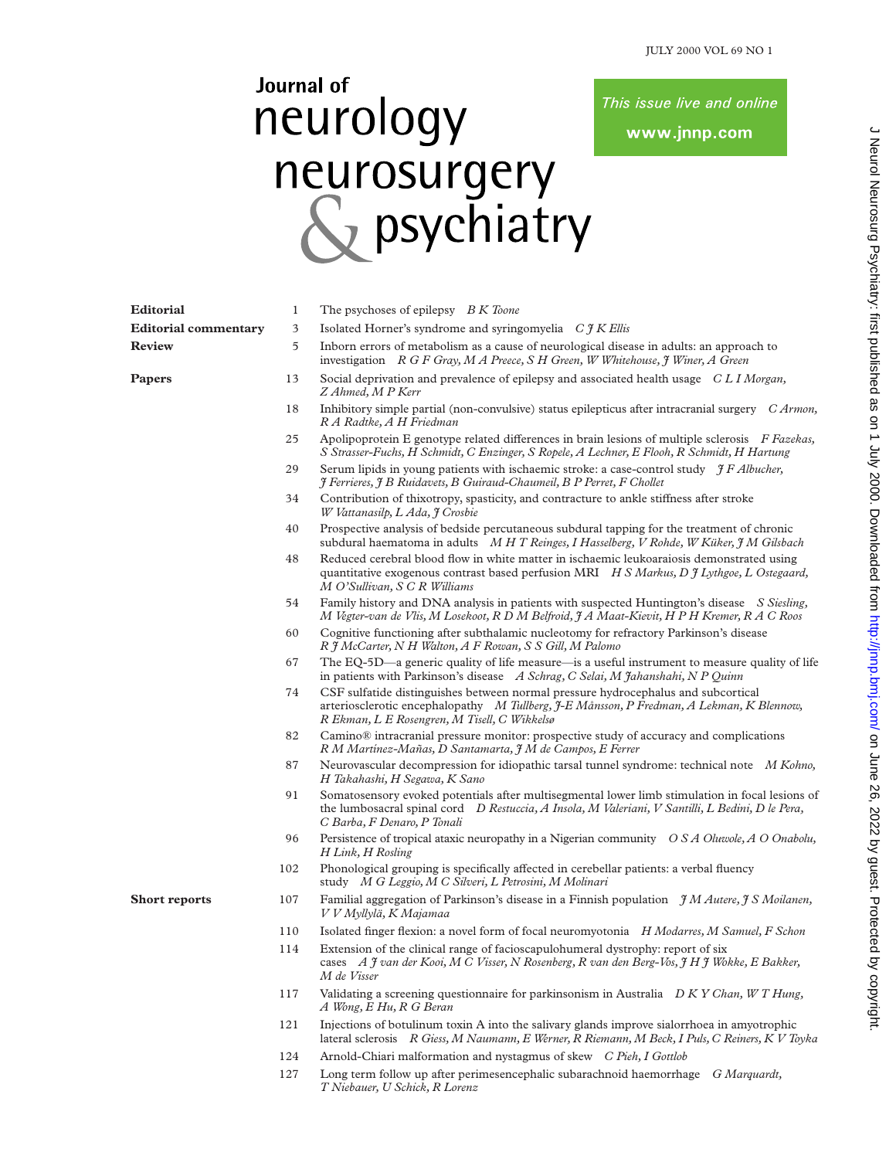This issue live and online

www.jnnp.com

## Journal of neurology neurosurgery<br>
Sychiatry

| <b>Editorial</b>            | 1   | The psychoses of epilepsy B K Toone                                                                                                                                                                                                |  |  |  |  |
|-----------------------------|-----|------------------------------------------------------------------------------------------------------------------------------------------------------------------------------------------------------------------------------------|--|--|--|--|
| <b>Editorial commentary</b> | 3   | Isolated Horner's syndrome and syringomyelia $C \mathcal{H} K$ Ellis                                                                                                                                                               |  |  |  |  |
| <b>Review</b>               | 5   | Inborn errors of metabolism as a cause of neurological disease in adults: an approach to<br>investigation $R G F G ray, M A Preece, S H Green, W Whitehouse, \gamma Winer, A Green$                                                |  |  |  |  |
| Papers                      | 13  | Social deprivation and prevalence of epilepsy and associated health usage CLI Morgan,<br>Z Ahmed, M P Kerr                                                                                                                         |  |  |  |  |
|                             | 18  | Inhibitory simple partial (non-convulsive) status epilepticus after intracranial surgery C Armon,<br>R A Radtke, A H Friedman                                                                                                      |  |  |  |  |
|                             | 25  | Apolipoprotein E genotype related differences in brain lesions of multiple sclerosis F Fazekas,<br>S Strasser-Fuchs, H Schmidt, C Enzinger, S Ropele, A Lechner, E Flooh, R Schmidt, H Hartung                                     |  |  |  |  |
|                             | 29  | Serum lipids in young patients with ischaemic stroke: a case-control study $\gamma F$ Albucher,<br>J Ferrieres, J B Ruidavets, B Guiraud-Chaumeil, B P Perret, F Chollet                                                           |  |  |  |  |
|                             | 34  | Contribution of thixotropy, spasticity, and contracture to ankle stiffness after stroke<br>W Vattanasilp, L Ada, J Crosbie                                                                                                         |  |  |  |  |
|                             | 40  | Prospective analysis of bedside percutaneous subdural tapping for the treatment of chronic<br>subdural haematoma in adults M H T Reinges, I Hasselberg, V Rohde, W Küker, J M Gilsbach                                             |  |  |  |  |
|                             | 48  | Reduced cerebral blood flow in white matter in ischaemic leukoaraiosis demonstrated using<br>quantitative exogenous contrast based perfusion MRI H S Markus, D J Lythgoe, L Ostegaard,<br>M O'Sullivan, S C R Williams             |  |  |  |  |
|                             | 54  | Family history and DNA analysis in patients with suspected Huntington's disease S Siesling,<br>M Vegter-van de Vlis, M Losekoot, R D M Belfroid, J A Maat-Kievit, H P H Kremer, R A C Roos                                         |  |  |  |  |
|                             | 60  | Cognitive functioning after subthalamic nucleotomy for refractory Parkinson's disease<br>R J McCarter, N H Walton, A F Rowan, S S Gill, M Palomo                                                                                   |  |  |  |  |
|                             | 67  | The EQ-5D—a generic quality of life measure—is a useful instrument to measure quality of life<br>in patients with Parkinson's disease A Schrag, C Selai, M Jahanshahi, N P Quinn                                                   |  |  |  |  |
|                             | 74  | CSF sulfatide distinguishes between normal pressure hydrocephalus and subcortical<br>arteriosclerotic encephalopathy M Tullberg, J-E Månsson, P Fredman, A Lekman, K Blennow,<br>R Ekman, L E Rosengren, M Tisell, C Wikkelsø      |  |  |  |  |
|                             | 82  | Camino® intracranial pressure monitor: prospective study of accuracy and complications<br>R M Martínez-Mañas, D Santamarta, J M de Campos, E Ferrer                                                                                |  |  |  |  |
|                             | 87  | Neurovascular decompression for idiopathic tarsal tunnel syndrome: technical note M Kohno,<br>H Takahashi, H Segawa, K Sano                                                                                                        |  |  |  |  |
|                             | 91  | Somatosensory evoked potentials after multisegmental lower limb stimulation in focal lesions of<br>the lumbosacral spinal cord D Restuccia, A Insola, M Valeriani, V Santilli, L Bedini, D le Pera,<br>C Barba, F Denaro, P Tonali |  |  |  |  |
|                             | 96  | Persistence of tropical ataxic neuropathy in a Nigerian community O S A Oluwole, A O Onabolu,<br>H Link, H Rosling                                                                                                                 |  |  |  |  |
|                             | 102 | Phonological grouping is specifically affected in cerebellar patients: a verbal fluency<br>study M G Leggio, M C Silveri, L Petrosini, M Molinari                                                                                  |  |  |  |  |
| <b>Short reports</b>        | 107 | Familial aggregation of Parkinson's disease in a Finnish population $\mathcal{J}M$ Autere, $\mathcal{J}S$ Moilanen,<br>V V Myllylä, K Majamaa                                                                                      |  |  |  |  |
|                             | 110 | Isolated finger flexion: a novel form of focal neuromyotonia H Modarres, M Samuel, F Schon                                                                                                                                         |  |  |  |  |
|                             | 114 | Extension of the clinical range of facioscapulohumeral dystrophy: report of six<br>cases A J van der Kooi, M C Visser, N Rosenberg, R van den Berg-Vos, J H J Wokke, E Bakker,<br>M de Visser                                      |  |  |  |  |
|                             | 117 | Validating a screening questionnaire for parkinsonism in Australia $D K Y Chan, WT Hung$ ,<br>A Wong, E Hu, R G Beran                                                                                                              |  |  |  |  |
|                             | 121 | Injections of botulinum toxin A into the salivary glands improve sialorrhoea in amyotrophic<br>lateral sclerosis R Giess, M Naumann, E Werner, R Riemann, M Beck, I Puls, C Reiners, K V Toyka                                     |  |  |  |  |
|                             | 124 | Arnold-Chiari malformation and nystagmus of skew C Pieh, I Gottlob                                                                                                                                                                 |  |  |  |  |
|                             | 127 | Long term follow up after perimesencephalic subarachnoid haemorrhage G Marquardt,                                                                                                                                                  |  |  |  |  |

*T Niebauer, U Schick, R Lorenz*